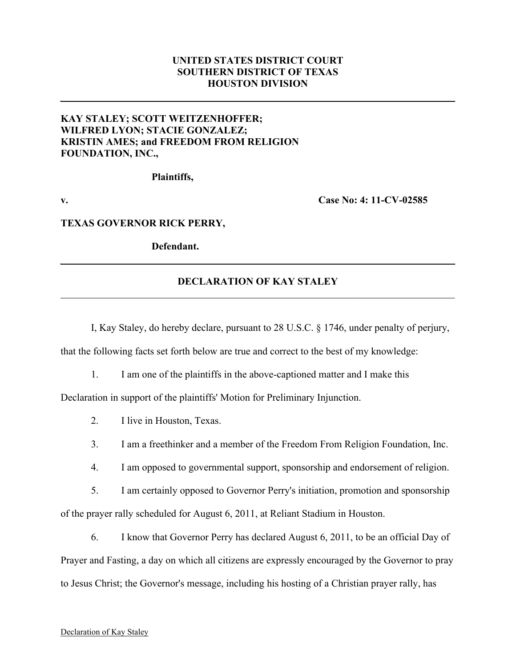## **UNITED STATES DISTRICT COURT SOUTHERN DISTRICT OF TEXAS HOUSTON DIVISION**

# **KAY STALEY; SCOTT WEITZENHOFFER; WILFRED LYON; STACIE GONZALEZ; KRISTIN AMES; and FREEDOM FROM RELIGION FOUNDATION, INC.,**

**Plaintiffs,**

**v. Case No: 4: 11-CV-02585**

#### **TEXAS GOVERNOR RICK PERRY,**

**Defendant.**

### **DECLARATION OF KAY STALEY**  $\mathcal{L}_\mathcal{L} = \{ \mathcal{L}_\mathcal{L} = \{ \mathcal{L}_\mathcal{L} = \{ \mathcal{L}_\mathcal{L} = \{ \mathcal{L}_\mathcal{L} = \{ \mathcal{L}_\mathcal{L} = \{ \mathcal{L}_\mathcal{L} = \{ \mathcal{L}_\mathcal{L} = \{ \mathcal{L}_\mathcal{L} = \{ \mathcal{L}_\mathcal{L} = \{ \mathcal{L}_\mathcal{L} = \{ \mathcal{L}_\mathcal{L} = \{ \mathcal{L}_\mathcal{L} = \{ \mathcal{L}_\mathcal{L} = \{ \mathcal{L}_\mathcal{$

I, Kay Staley, do hereby declare, pursuant to 28 U.S.C. § 1746, under penalty of perjury,

that the following facts set forth below are true and correct to the best of my knowledge:

1. I am one of the plaintiffs in the above-captioned matter and I make this

Declaration in support of the plaintiffs' Motion for Preliminary Injunction.

- 2. I live in Houston, Texas.
- 3. I am a freethinker and a member of the Freedom From Religion Foundation, Inc.
- 4. I am opposed to governmental support, sponsorship and endorsement of religion.

5. I am certainly opposed to Governor Perry's initiation, promotion and sponsorship of the prayer rally scheduled for August 6, 2011, at Reliant Stadium in Houston.

6. I know that Governor Perry has declared August 6, 2011, to be an official Day of Prayer and Fasting, a day on which all citizens are expressly encouraged by the Governor to pray to Jesus Christ; the Governor's message, including his hosting of a Christian prayer rally, has

#### Declaration of Kay Staley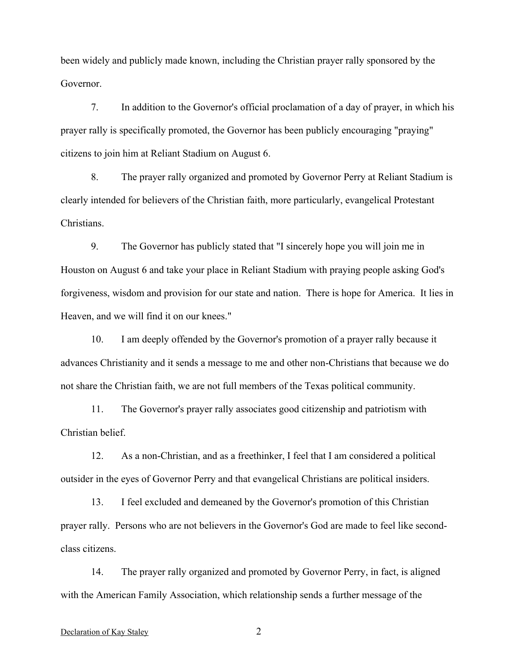been widely and publicly made known, including the Christian prayer rally sponsored by the Governor.

7. In addition to the Governor's official proclamation of a day of prayer, in which his prayer rally is specifically promoted, the Governor has been publicly encouraging "praying" citizens to join him at Reliant Stadium on August 6.

8. The prayer rally organized and promoted by Governor Perry at Reliant Stadium is clearly intended for believers of the Christian faith, more particularly, evangelical Protestant Christians.

9. The Governor has publicly stated that "I sincerely hope you will join me in Houston on August 6 and take your place in Reliant Stadium with praying people asking God's forgiveness, wisdom and provision for our state and nation. There is hope for America. It lies in Heaven, and we will find it on our knees."

10. I am deeply offended by the Governor's promotion of a prayer rally because it advances Christianity and it sends a message to me and other non-Christians that because we do not share the Christian faith, we are not full members of the Texas political community.

11. The Governor's prayer rally associates good citizenship and patriotism with Christian belief.

12. As a non-Christian, and as a freethinker, I feel that I am considered a political outsider in the eyes of Governor Perry and that evangelical Christians are political insiders.

13. I feel excluded and demeaned by the Governor's promotion of this Christian prayer rally. Persons who are not believers in the Governor's God are made to feel like secondclass citizens.

14. The prayer rally organized and promoted by Governor Perry, in fact, is aligned with the American Family Association, which relationship sends a further message of the